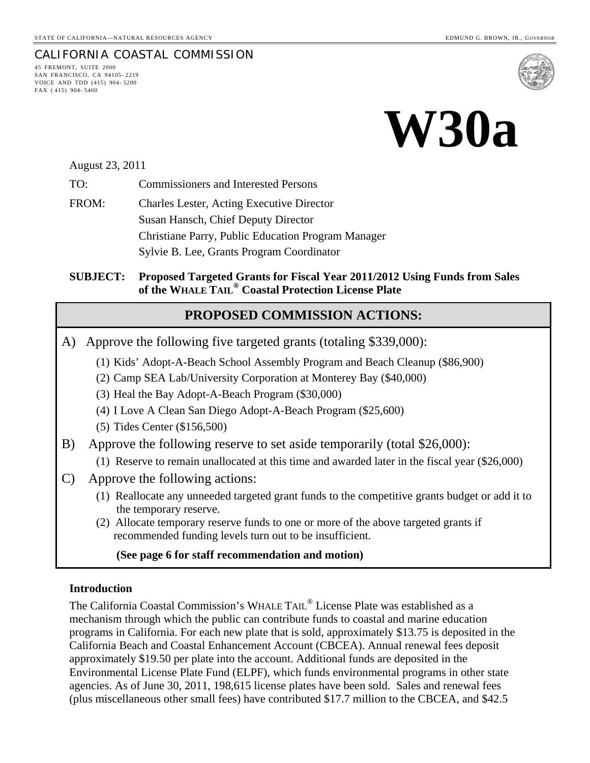#### CALIFORNIA COASTAL COMMISSION 45 FREMONT, SUITE 2000 SAN FRANCISCO, CA 94105- 2219 VOICE AND TDD (415) 904- 5200





August 23, 2011

FAX ( 415) 904- 5400

TO: Commissioners and Interested Persons

FROM: Charles Lester, Acting Executive Director Susan Hansch, Chief Deputy Director Christiane Parry, Public Education Program Manager Sylvie B. Lee, Grants Program Coordinator

#### **SUBJECT: Proposed Targeted Grants for Fiscal Year 2011/2012 Using Funds from Sales of the WHALE TAIL® Coastal Protection License Plate**

### **PROPOSED COMMISSION ACTIONS:**

- A) Approve the following five targeted grants (totaling \$339,000):
	- (1) Kids' Adopt-A-Beach School Assembly Program and Beach Cleanup (\$86,900)
	- (2) Camp SEA Lab/University Corporation at Monterey Bay (\$40,000)
	- (3) Heal the Bay Adopt-A-Beach Program (\$30,000)
	- (4) I Love A Clean San Diego Adopt-A-Beach Program (\$25,600)
	- (5) Tides Center (\$156,500)
- B) Approve the following reserve to set aside temporarily (total \$26,000):
	- (1) Reserve to remain unallocated at this time and awarded later in the fiscal year (\$26,000)
- C) Approve the following actions:
	- (1) Reallocate any unneeded targeted grant funds to the competitive grants budget or add it to the temporary reserve.
	- (2) Allocate temporary reserve funds to one or more of the above targeted grants if recommended funding levels turn out to be insufficient.

#### **(See page 6 for staff recommendation and motion)**

#### **Introduction**

The California Coastal Commission's WHALE TAIL® License Plate was established as a mechanism through which the public can contribute funds to coastal and marine education programs in California. For each new plate that is sold, approximately \$13.75 is deposited in the California Beach and Coastal Enhancement Account (CBCEA). Annual renewal fees deposit approximately \$19.50 per plate into the account. Additional funds are deposited in the Environmental License Plate Fund (ELPF), which funds environmental programs in other state agencies. As of June 30, 2011, 198,615 license plates have been sold. Sales and renewal fees (plus miscellaneous other small fees) have contributed \$17.7 million to the CBCEA, and \$42.5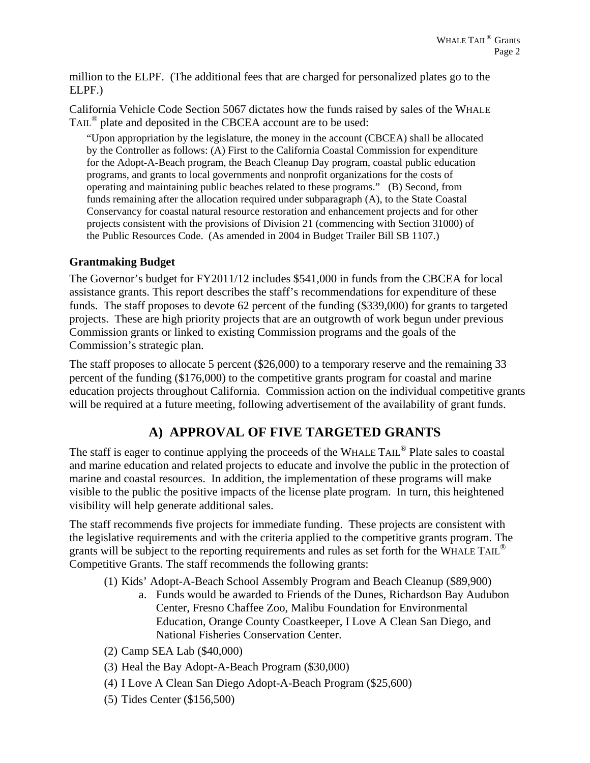million to the ELPF. (The additional fees that are charged for personalized plates go to the ELPF.)

California Vehicle Code Section 5067 dictates how the funds raised by sales of the WHALE TAIL® plate and deposited in the CBCEA account are to be used:

"Upon appropriation by the legislature, the money in the account (CBCEA) shall be allocated by the Controller as follows: (A) First to the California Coastal Commission for expenditure for the Adopt-A-Beach program, the Beach Cleanup Day program, coastal public education programs, and grants to local governments and nonprofit organizations for the costs of operating and maintaining public beaches related to these programs." (B) Second, from funds remaining after the allocation required under subparagraph (A), to the State Coastal Conservancy for coastal natural resource restoration and enhancement projects and for other projects consistent with the provisions of Division 21 (commencing with Section 31000) of the Public Resources Code. (As amended in 2004 in Budget Trailer Bill SB 1107.)

#### **Grantmaking Budget**

The Governor's budget for FY2011/12 includes \$541,000 in funds from the CBCEA for local assistance grants. This report describes the staff's recommendations for expenditure of these funds. The staff proposes to devote 62 percent of the funding (\$339,000) for grants to targeted projects. These are high priority projects that are an outgrowth of work begun under previous Commission grants or linked to existing Commission programs and the goals of the Commission's strategic plan.

The staff proposes to allocate 5 percent (\$26,000) to a temporary reserve and the remaining 33 percent of the funding (\$176,000) to the competitive grants program for coastal and marine education projects throughout California. Commission action on the individual competitive grants will be required at a future meeting, following advertisement of the availability of grant funds.

## **A) APPROVAL OF FIVE TARGETED GRANTS**

The staff is eager to continue applying the proceeds of the WHALE TAIL<sup>®</sup> Plate sales to coastal and marine education and related projects to educate and involve the public in the protection of marine and coastal resources. In addition, the implementation of these programs will make visible to the public the positive impacts of the license plate program. In turn, this heightened visibility will help generate additional sales.

The staff recommends five projects for immediate funding. These projects are consistent with the legislative requirements and with the criteria applied to the competitive grants program. The grants will be subject to the reporting requirements and rules as set forth for the WHALE TAIL<sup>®</sup> Competitive Grants. The staff recommends the following grants:

- (1) Kids' Adopt-A-Beach School Assembly Program and Beach Cleanup (\$89,900)
	- a. Funds would be awarded to Friends of the Dunes, Richardson Bay Audubon Center, Fresno Chaffee Zoo, Malibu Foundation for Environmental Education, Orange County Coastkeeper, I Love A Clean San Diego, and National Fisheries Conservation Center.
- (2) Camp SEA Lab (\$40,000)
- (3) Heal the Bay Adopt-A-Beach Program (\$30,000)
- (4) I Love A Clean San Diego Adopt-A-Beach Program (\$25,600)
- (5) Tides Center (\$156,500)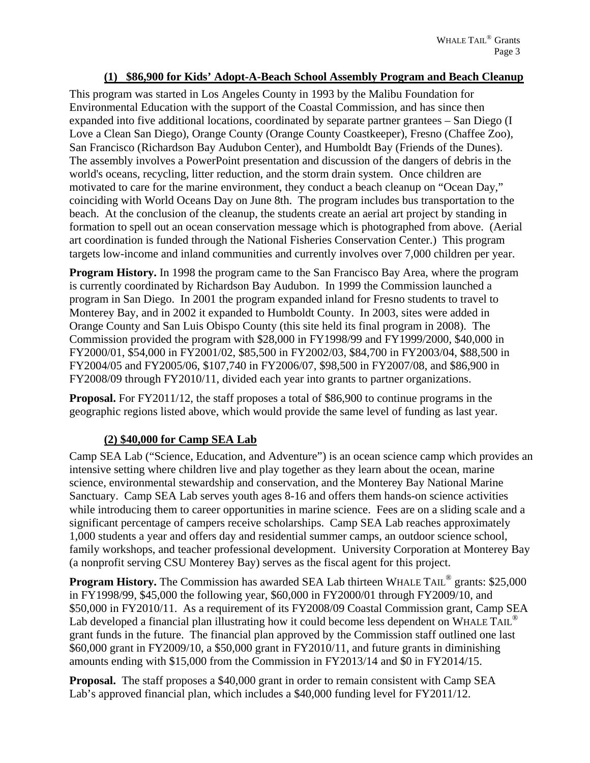#### **(1) \$86,900 for Kids' Adopt-A-Beach School Assembly Program and Beach Cleanup**

This program was started in Los Angeles County in 1993 by the Malibu Foundation for Environmental Education with the support of the Coastal Commission, and has since then expanded into five additional locations, coordinated by separate partner grantees – San Diego (I Love a Clean San Diego), Orange County (Orange County Coastkeeper), Fresno (Chaffee Zoo), San Francisco (Richardson Bay Audubon Center), and Humboldt Bay (Friends of the Dunes). The assembly involves a PowerPoint presentation and discussion of the dangers of debris in the world's oceans, recycling, litter reduction, and the storm drain system. Once children are motivated to care for the marine environment, they conduct a beach cleanup on "Ocean Day," coinciding with World Oceans Day on June 8th. The program includes bus transportation to the beach. At the conclusion of the cleanup, the students create an aerial art project by standing in formation to spell out an ocean conservation message which is photographed from above. (Aerial art coordination is funded through the National Fisheries Conservation Center.) This program targets low-income and inland communities and currently involves over 7,000 children per year.

**Program History.** In 1998 the program came to the San Francisco Bay Area, where the program is currently coordinated by Richardson Bay Audubon. In 1999 the Commission launched a program in San Diego. In 2001 the program expanded inland for Fresno students to travel to Monterey Bay, and in 2002 it expanded to Humboldt County. In 2003, sites were added in Orange County and San Luis Obispo County (this site held its final program in 2008). The Commission provided the program with \$28,000 in FY1998/99 and FY1999/2000, \$40,000 in FY2000/01, \$54,000 in FY2001/02, \$85,500 in FY2002/03, \$84,700 in FY2003/04, \$88,500 in FY2004/05 and FY2005/06, \$107,740 in FY2006/07, \$98,500 in FY2007/08, and \$86,900 in FY2008/09 through FY2010/11, divided each year into grants to partner organizations.

**Proposal.** For FY2011/12, the staff proposes a total of \$86,900 to continue programs in the geographic regions listed above, which would provide the same level of funding as last year.

### **(2) \$40,000 for Camp SEA Lab**

Camp SEA Lab ("Science, Education, and Adventure") is an ocean science camp which provides an intensive setting where children live and play together as they learn about the ocean, marine science, environmental stewardship and conservation, and the Monterey Bay National Marine Sanctuary. Camp SEA Lab serves youth ages 8-16 and offers them hands-on science activities while introducing them to career opportunities in marine science. Fees are on a sliding scale and a significant percentage of campers receive scholarships. Camp SEA Lab reaches approximately 1,000 students a year and offers day and residential summer camps, an outdoor science school, family workshops, and teacher professional development. University Corporation at Monterey Bay (a nonprofit serving CSU Monterey Bay) serves as the fiscal agent for this project.

**Program History.** The Commission has awarded SEA Lab thirteen WHALE TAIL<sup>®</sup> grants: \$25,000 in FY1998/99, \$45,000 the following year, \$60,000 in FY2000/01 through FY2009/10, and \$50,000 in FY2010/11. As a requirement of its FY2008/09 Coastal Commission grant, Camp SEA Lab developed a financial plan illustrating how it could become less dependent on WHALE TAIL<sup>®</sup> grant funds in the future. The financial plan approved by the Commission staff outlined one last \$60,000 grant in FY2009/10, a \$50,000 grant in FY2010/11, and future grants in diminishing amounts ending with \$15,000 from the Commission in FY2013/14 and \$0 in FY2014/15.

**Proposal.** The staff proposes a \$40,000 grant in order to remain consistent with Camp SEA Lab's approved financial plan, which includes a \$40,000 funding level for FY2011/12.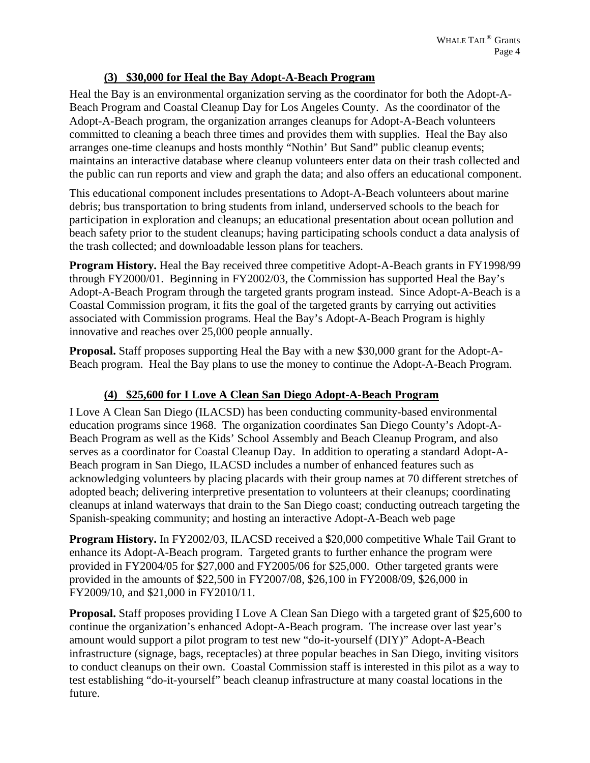### **(3) \$30,000 for Heal the Bay Adopt-A-Beach Program**

Heal the Bay is an environmental organization serving as the coordinator for both the Adopt-A-Beach Program and Coastal Cleanup Day for Los Angeles County. As the coordinator of the Adopt-A-Beach program, the organization arranges cleanups for Adopt-A-Beach volunteers committed to cleaning a beach three times and provides them with supplies. Heal the Bay also arranges one-time cleanups and hosts monthly "Nothin' But Sand" public cleanup events; maintains an interactive database where cleanup volunteers enter data on their trash collected and the public can run reports and view and graph the data; and also offers an educational component.

This educational component includes presentations to Adopt-A-Beach volunteers about marine debris; bus transportation to bring students from inland, underserved schools to the beach for participation in exploration and cleanups; an educational presentation about ocean pollution and beach safety prior to the student cleanups; having participating schools conduct a data analysis of the trash collected; and downloadable lesson plans for teachers.

**Program History.** Heal the Bay received three competitive Adopt-A-Beach grants in FY1998/99 through FY2000/01. Beginning in FY2002/03, the Commission has supported Heal the Bay's Adopt-A-Beach Program through the targeted grants program instead. Since Adopt-A-Beach is a Coastal Commission program, it fits the goal of the targeted grants by carrying out activities associated with Commission programs. Heal the Bay's Adopt-A-Beach Program is highly innovative and reaches over 25,000 people annually.

**Proposal.** Staff proposes supporting Heal the Bay with a new \$30,000 grant for the Adopt-A-Beach program. Heal the Bay plans to use the money to continue the Adopt-A-Beach Program.

### **(4) \$25,600 for I Love A Clean San Diego Adopt-A-Beach Program**

I Love A Clean San Diego (ILACSD) has been conducting community-based environmental education programs since 1968. The organization coordinates San Diego County's Adopt-A-Beach Program as well as the Kids' School Assembly and Beach Cleanup Program, and also serves as a coordinator for Coastal Cleanup Day. In addition to operating a standard Adopt-A-Beach program in San Diego, ILACSD includes a number of enhanced features such as acknowledging volunteers by placing placards with their group names at 70 different stretches of adopted beach; delivering interpretive presentation to volunteers at their cleanups; coordinating cleanups at inland waterways that drain to the San Diego coast; conducting outreach targeting the Spanish-speaking community; and hosting an interactive Adopt-A-Beach web page

**Program History.** In FY2002/03, ILACSD received a \$20,000 competitive Whale Tail Grant to enhance its Adopt-A-Beach program. Targeted grants to further enhance the program were provided in FY2004/05 for \$27,000 and FY2005/06 for \$25,000. Other targeted grants were provided in the amounts of \$22,500 in FY2007/08, \$26,100 in FY2008/09, \$26,000 in FY2009/10, and \$21,000 in FY2010/11.

**Proposal.** Staff proposes providing I Love A Clean San Diego with a targeted grant of \$25,600 to continue the organization's enhanced Adopt-A-Beach program. The increase over last year's amount would support a pilot program to test new "do-it-yourself (DIY)" Adopt-A-Beach infrastructure (signage, bags, receptacles) at three popular beaches in San Diego, inviting visitors to conduct cleanups on their own. Coastal Commission staff is interested in this pilot as a way to test establishing "do-it-yourself" beach cleanup infrastructure at many coastal locations in the future.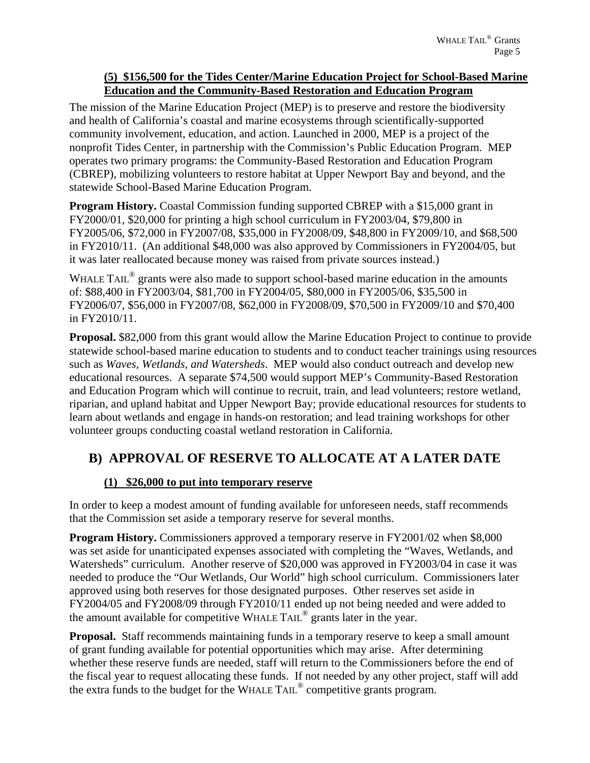#### **(5) \$156,500 for the Tides Center/Marine Education Project for School-Based Marine Education and the Community-Based Restoration and Education Program**

The mission of the Marine Education Project (MEP) is to preserve and restore the biodiversity and health of California's coastal and marine ecosystems through scientifically-supported community involvement, education, and action. Launched in 2000, MEP is a project of the nonprofit Tides Center, in partnership with the Commission's Public Education Program. MEP operates two primary programs: the Community-Based Restoration and Education Program (CBREP), mobilizing volunteers to restore habitat at Upper Newport Bay and beyond, and the statewide School-Based Marine Education Program.

**Program History.** Coastal Commission funding supported CBREP with a \$15,000 grant in FY2000/01, \$20,000 for printing a high school curriculum in FY2003/04, \$79,800 in FY2005/06, \$72,000 in FY2007/08, \$35,000 in FY2008/09, \$48,800 in FY2009/10, and \$68,500 in FY2010/11. (An additional \$48,000 was also approved by Commissioners in FY2004/05, but it was later reallocated because money was raised from private sources instead.)

WHALE TAIL<sup>®</sup> grants were also made to support school-based marine education in the amounts of: \$88,400 in FY2003/04, \$81,700 in FY2004/05, \$80,000 in FY2005/06, \$35,500 in FY2006/07, \$56,000 in FY2007/08, \$62,000 in FY2008/09, \$70,500 in FY2009/10 and \$70,400 in FY2010/11.

**Proposal.** \$82,000 from this grant would allow the Marine Education Project to continue to provide statewide school-based marine education to students and to conduct teacher trainings using resources such as *Waves, Wetlands, and Watersheds*. MEP would also conduct outreach and develop new educational resources. A separate \$74,500 would support MEP's Community-Based Restoration and Education Program which will continue to recruit, train, and lead volunteers; restore wetland, riparian, and upland habitat and Upper Newport Bay; provide educational resources for students to learn about wetlands and engage in hands-on restoration; and lead training workshops for other volunteer groups conducting coastal wetland restoration in California.

# **B) APPROVAL OF RESERVE TO ALLOCATE AT A LATER DATE**

### **(1) \$26,000 to put into temporary reserve**

In order to keep a modest amount of funding available for unforeseen needs, staff recommends that the Commission set aside a temporary reserve for several months.

**Program History.** Commissioners approved a temporary reserve in FY2001/02 when \$8,000 was set aside for unanticipated expenses associated with completing the "Waves, Wetlands, and Watersheds" curriculum. Another reserve of \$20,000 was approved in FY2003/04 in case it was needed to produce the "Our Wetlands, Our World" high school curriculum. Commissioners later approved using both reserves for those designated purposes. Other reserves set aside in FY2004/05 and FY2008/09 through FY2010/11 ended up not being needed and were added to the amount available for competitive WHALE TAIL® grants later in the year.

**Proposal.** Staff recommends maintaining funds in a temporary reserve to keep a small amount of grant funding available for potential opportunities which may arise. After determining whether these reserve funds are needed, staff will return to the Commissioners before the end of the fiscal year to request allocating these funds. If not needed by any other project, staff will add the extra funds to the budget for the WHALE TAIL® competitive grants program.